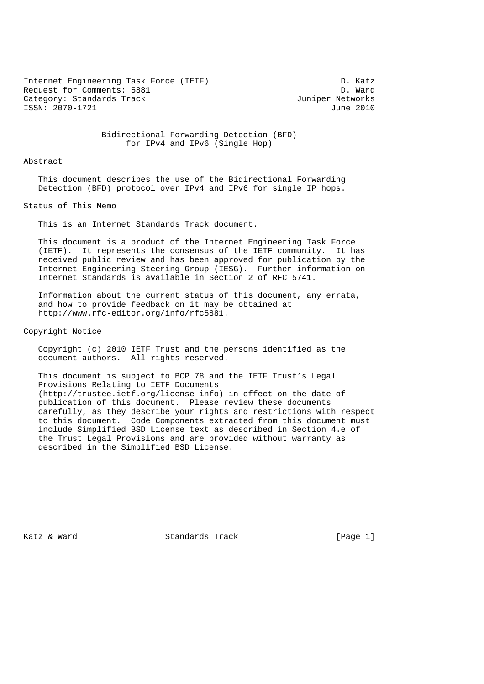Internet Engineering Task Force (IETF) D. Katz<br>Request for Comments: 5881 Request for Comments: 5881 Category: Standards Track and the Category: Standards Track ISSN: 2070-1721 June 2010

 Bidirectional Forwarding Detection (BFD) for IPv4 and IPv6 (Single Hop)

Abstract

 This document describes the use of the Bidirectional Forwarding Detection (BFD) protocol over IPv4 and IPv6 for single IP hops.

Status of This Memo

This is an Internet Standards Track document.

 This document is a product of the Internet Engineering Task Force (IETF). It represents the consensus of the IETF community. It has received public review and has been approved for publication by the Internet Engineering Steering Group (IESG). Further information on Internet Standards is available in Section 2 of RFC 5741.

 Information about the current status of this document, any errata, and how to provide feedback on it may be obtained at http://www.rfc-editor.org/info/rfc5881.

Copyright Notice

 Copyright (c) 2010 IETF Trust and the persons identified as the document authors. All rights reserved.

 This document is subject to BCP 78 and the IETF Trust's Legal Provisions Relating to IETF Documents (http://trustee.ietf.org/license-info) in effect on the date of publication of this document. Please review these documents carefully, as they describe your rights and restrictions with respect to this document. Code Components extracted from this document must include Simplified BSD License text as described in Section 4.e of the Trust Legal Provisions and are provided without warranty as described in the Simplified BSD License.

Katz & Ward Standards Track [Page 1]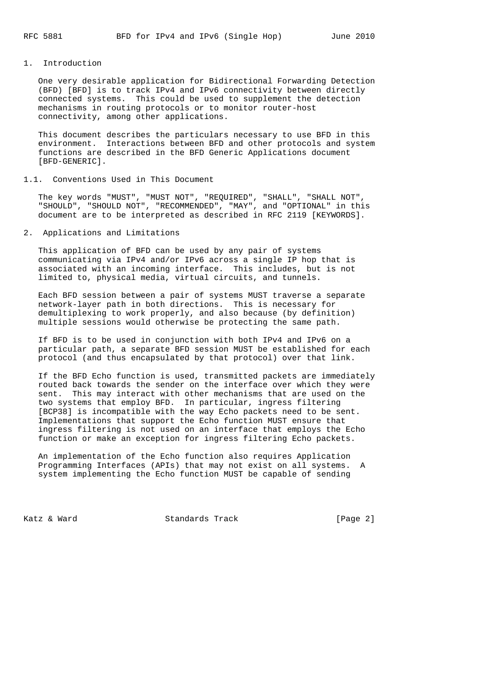## 1. Introduction

 One very desirable application for Bidirectional Forwarding Detection (BFD) [BFD] is to track IPv4 and IPv6 connectivity between directly connected systems. This could be used to supplement the detection mechanisms in routing protocols or to monitor router-host connectivity, among other applications.

 This document describes the particulars necessary to use BFD in this environment. Interactions between BFD and other protocols and system functions are described in the BFD Generic Applications document [BFD-GENERIC].

#### 1.1. Conventions Used in This Document

 The key words "MUST", "MUST NOT", "REQUIRED", "SHALL", "SHALL NOT", "SHOULD", "SHOULD NOT", "RECOMMENDED", "MAY", and "OPTIONAL" in this document are to be interpreted as described in RFC 2119 [KEYWORDS].

# 2. Applications and Limitations

 This application of BFD can be used by any pair of systems communicating via IPv4 and/or IPv6 across a single IP hop that is associated with an incoming interface. This includes, but is not limited to, physical media, virtual circuits, and tunnels.

 Each BFD session between a pair of systems MUST traverse a separate network-layer path in both directions. This is necessary for demultiplexing to work properly, and also because (by definition) multiple sessions would otherwise be protecting the same path.

 If BFD is to be used in conjunction with both IPv4 and IPv6 on a particular path, a separate BFD session MUST be established for each protocol (and thus encapsulated by that protocol) over that link.

 If the BFD Echo function is used, transmitted packets are immediately routed back towards the sender on the interface over which they were sent. This may interact with other mechanisms that are used on the two systems that employ BFD. In particular, ingress filtering [BCP38] is incompatible with the way Echo packets need to be sent. Implementations that support the Echo function MUST ensure that ingress filtering is not used on an interface that employs the Echo function or make an exception for ingress filtering Echo packets.

 An implementation of the Echo function also requires Application Programming Interfaces (APIs) that may not exist on all systems. A system implementing the Echo function MUST be capable of sending

Katz & Ward **Standards Track** [Page 2]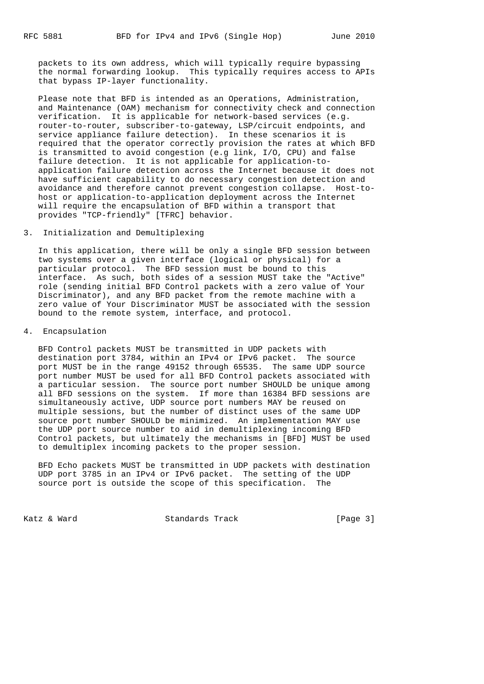packets to its own address, which will typically require bypassing the normal forwarding lookup. This typically requires access to APIs that bypass IP-layer functionality.

 Please note that BFD is intended as an Operations, Administration, and Maintenance (OAM) mechanism for connectivity check and connection verification. It is applicable for network-based services (e.g. router-to-router, subscriber-to-gateway, LSP/circuit endpoints, and service appliance failure detection). In these scenarios it is required that the operator correctly provision the rates at which BFD is transmitted to avoid congestion (e.g link, I/O, CPU) and false failure detection. It is not applicable for application-to application failure detection across the Internet because it does not have sufficient capability to do necessary congestion detection and avoidance and therefore cannot prevent congestion collapse. Host-to host or application-to-application deployment across the Internet will require the encapsulation of BFD within a transport that provides "TCP-friendly" [TFRC] behavior.

# 3. Initialization and Demultiplexing

 In this application, there will be only a single BFD session between two systems over a given interface (logical or physical) for a particular protocol. The BFD session must be bound to this interface. As such, both sides of a session MUST take the "Active" role (sending initial BFD Control packets with a zero value of Your Discriminator), and any BFD packet from the remote machine with a zero value of Your Discriminator MUST be associated with the session bound to the remote system, interface, and protocol.

4. Encapsulation

 BFD Control packets MUST be transmitted in UDP packets with destination port 3784, within an IPv4 or IPv6 packet. The source port MUST be in the range 49152 through 65535. The same UDP source port number MUST be used for all BFD Control packets associated with a particular session. The source port number SHOULD be unique among all BFD sessions on the system. If more than 16384 BFD sessions are simultaneously active, UDP source port numbers MAY be reused on multiple sessions, but the number of distinct uses of the same UDP source port number SHOULD be minimized. An implementation MAY use the UDP port source number to aid in demultiplexing incoming BFD Control packets, but ultimately the mechanisms in [BFD] MUST be used to demultiplex incoming packets to the proper session.

 BFD Echo packets MUST be transmitted in UDP packets with destination UDP port 3785 in an IPv4 or IPv6 packet. The setting of the UDP source port is outside the scope of this specification. The

Katz & Ward Standards Track [Page 3]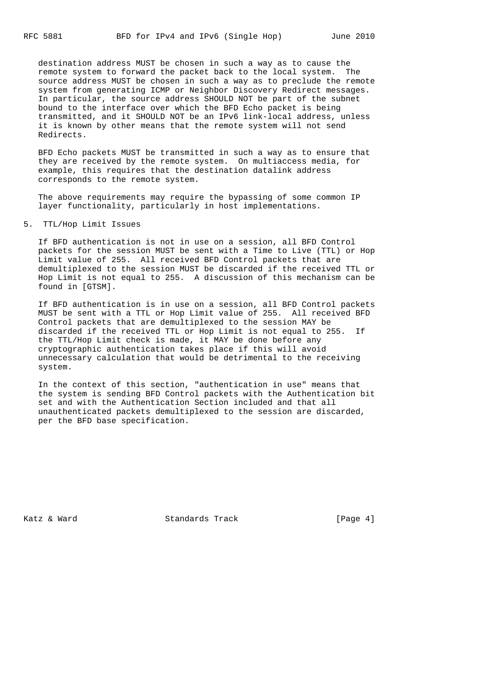destination address MUST be chosen in such a way as to cause the remote system to forward the packet back to the local system. The source address MUST be chosen in such a way as to preclude the remote system from generating ICMP or Neighbor Discovery Redirect messages. In particular, the source address SHOULD NOT be part of the subnet bound to the interface over which the BFD Echo packet is being transmitted, and it SHOULD NOT be an IPv6 link-local address, unless it is known by other means that the remote system will not send Redirects.

 BFD Echo packets MUST be transmitted in such a way as to ensure that they are received by the remote system. On multiaccess media, for example, this requires that the destination datalink address corresponds to the remote system.

 The above requirements may require the bypassing of some common IP layer functionality, particularly in host implementations.

#### 5. TTL/Hop Limit Issues

 If BFD authentication is not in use on a session, all BFD Control packets for the session MUST be sent with a Time to Live (TTL) or Hop Limit value of 255. All received BFD Control packets that are demultiplexed to the session MUST be discarded if the received TTL or Hop Limit is not equal to 255. A discussion of this mechanism can be found in [GTSM].

 If BFD authentication is in use on a session, all BFD Control packets MUST be sent with a TTL or Hop Limit value of 255. All received BFD Control packets that are demultiplexed to the session MAY be discarded if the received TTL or Hop Limit is not equal to 255. If the TTL/Hop Limit check is made, it MAY be done before any cryptographic authentication takes place if this will avoid unnecessary calculation that would be detrimental to the receiving system.

 In the context of this section, "authentication in use" means that the system is sending BFD Control packets with the Authentication bit set and with the Authentication Section included and that all unauthenticated packets demultiplexed to the session are discarded, per the BFD base specification.

Katz & Ward Standards Track [Page 4]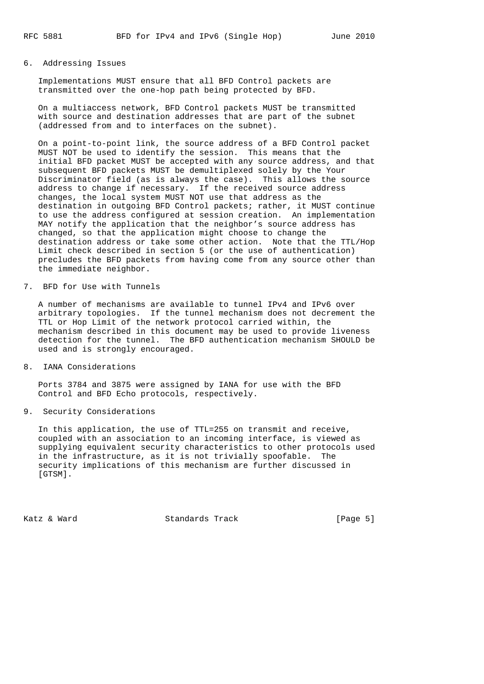## 6. Addressing Issues

 Implementations MUST ensure that all BFD Control packets are transmitted over the one-hop path being protected by BFD.

 On a multiaccess network, BFD Control packets MUST be transmitted with source and destination addresses that are part of the subnet (addressed from and to interfaces on the subnet).

 On a point-to-point link, the source address of a BFD Control packet MUST NOT be used to identify the session. This means that the initial BFD packet MUST be accepted with any source address, and that subsequent BFD packets MUST be demultiplexed solely by the Your Discriminator field (as is always the case). This allows the source address to change if necessary. If the received source address changes, the local system MUST NOT use that address as the destination in outgoing BFD Control packets; rather, it MUST continue to use the address configured at session creation. An implementation MAY notify the application that the neighbor's source address has changed, so that the application might choose to change the destination address or take some other action. Note that the TTL/Hop Limit check described in section 5 (or the use of authentication) precludes the BFD packets from having come from any source other than the immediate neighbor.

### 7. BFD for Use with Tunnels

 A number of mechanisms are available to tunnel IPv4 and IPv6 over arbitrary topologies. If the tunnel mechanism does not decrement the TTL or Hop Limit of the network protocol carried within, the mechanism described in this document may be used to provide liveness detection for the tunnel. The BFD authentication mechanism SHOULD be used and is strongly encouraged.

8. IANA Considerations

 Ports 3784 and 3875 were assigned by IANA for use with the BFD Control and BFD Echo protocols, respectively.

9. Security Considerations

 In this application, the use of TTL=255 on transmit and receive, coupled with an association to an incoming interface, is viewed as supplying equivalent security characteristics to other protocols used in the infrastructure, as it is not trivially spoofable. The security implications of this mechanism are further discussed in [GTSM].

Katz & Ward **Standards Track** [Page 5]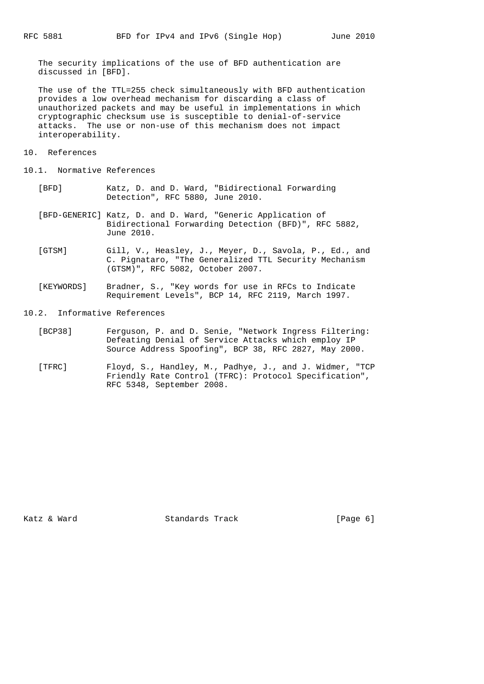The security implications of the use of BFD authentication are discussed in [BFD].

 The use of the TTL=255 check simultaneously with BFD authentication provides a low overhead mechanism for discarding a class of unauthorized packets and may be useful in implementations in which cryptographic checksum use is susceptible to denial-of-service attacks. The use or non-use of this mechanism does not impact interoperability.

- 10. References
- 10.1. Normative References
	- [BFD] Katz, D. and D. Ward, "Bidirectional Forwarding Detection", RFC 5880, June 2010.
	- [BFD-GENERIC] Katz, D. and D. Ward, "Generic Application of Bidirectional Forwarding Detection (BFD)", RFC 5882, June 2010.
	- [GTSM] Gill, V., Heasley, J., Meyer, D., Savola, P., Ed., and C. Pignataro, "The Generalized TTL Security Mechanism (GTSM)", RFC 5082, October 2007.
	- [KEYWORDS] Bradner, S., "Key words for use in RFCs to Indicate Requirement Levels", BCP 14, RFC 2119, March 1997.
- 10.2. Informative References
	- [BCP38] Ferguson, P. and D. Senie, "Network Ingress Filtering: Defeating Denial of Service Attacks which employ IP Source Address Spoofing", BCP 38, RFC 2827, May 2000.
	- [TFRC] Floyd, S., Handley, M., Padhye, J., and J. Widmer, "TCP Friendly Rate Control (TFRC): Protocol Specification", RFC 5348, September 2008.

Katz & Ward Standards Track [Page 6]